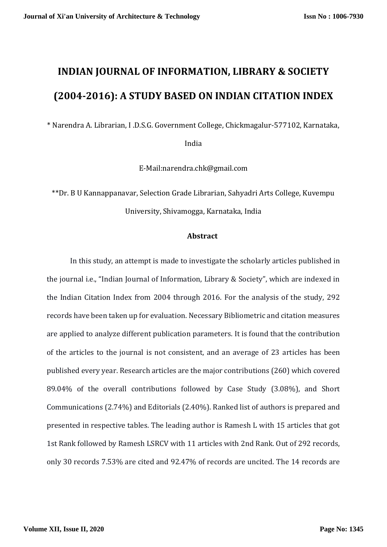# **INDIAN JOURNAL OF INFORMATION, LIBRARY & SOCIETY (2004-2016): A STUDY BASED ON INDIAN CITATION INDEX**

\* Narendra A. Librarian, I .D.S.G. Government College, Chickmagalur-577102, Karnataka,

India

[E-Mail:narendra.chk@gmail.com](mailto:E-Mail%20%20%20sumabasavaraj@gmail.com)

\*\*Dr. B U Kannappanavar, Selection Grade Librarian, Sahyadri Arts College, Kuvempu University, Shivamogga, Karnataka, India

#### **Abstract**

In this study, an attempt is made to investigate the scholarly articles published in the journal i.e., "Indian Journal of Information, Library & Society", which are indexed in the Indian Citation Index from 2004 through 2016. For the analysis of the study, 292 records have been taken up for evaluation. Necessary Bibliometric and citation measures are applied to analyze different publication parameters. It is found that the contribution of the articles to the journal is not consistent, and an average of 23 articles has been published every year. Research articles are the major contributions (260) which covered 89.04% of the overall contributions followed by Case Study (3.08%), and Short Communications (2.74%) and Editorials (2.40%). Ranked list of authors is prepared and presented in respective tables. The leading author is Ramesh L with 15 articles that got 1st Rank followed by Ramesh LSRCV with 11 articles with 2nd Rank. Out of 292 records, only 30 records 7.53% are cited and 92.47% of records are uncited. The 14 records are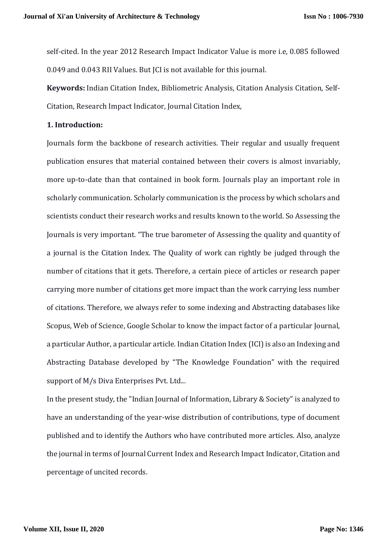self-cited. In the year 2012 Research Impact Indicator Value is more i.e, 0.085 followed 0.049 and 0.043 RII Values. But JCI is not available for this journal.

**Keywords:** Indian Citation Index, Bibliometric Analysis, Citation Analysis Citation, Self-Citation, Research Impact Indicator, Journal Citation Index,

#### **1. Introduction:**

Journals form the backbone of research activities. Their regular and usually frequent publication ensures that material contained between their covers is almost invariably, more up-to-date than that contained in book form. Journals play an important role in scholarly communication. Scholarly communication is the process by which scholars and scientists conduct their research works and results known to the world. So Assessing the Journals is very important. "The true barometer of Assessing the quality and quantity of a journal is the Citation Index. The Quality of work can rightly be judged through the number of citations that it gets. Therefore, a certain piece of articles or research paper carrying more number of citations get more impact than the work carrying less number of citations. Therefore, we always refer to some indexing and Abstracting databases like Scopus, Web of Science, Google Scholar to know the impact factor of a particular Journal, a particular Author, a particular article. Indian Citation Index (ICI) is also an Indexing and Abstracting Database developed by "The Knowledge Foundation" with the required support of M/s Diva Enterprises Pvt. Ltd...

In the present study, the "Indian Journal of Information, Library & Society" is analyzed to have an understanding of the year-wise distribution of contributions, type of document published and to identify the Authors who have contributed more articles. Also, analyze the journal in terms of Journal Current Index and Research Impact Indicator, Citation and percentage of uncited records.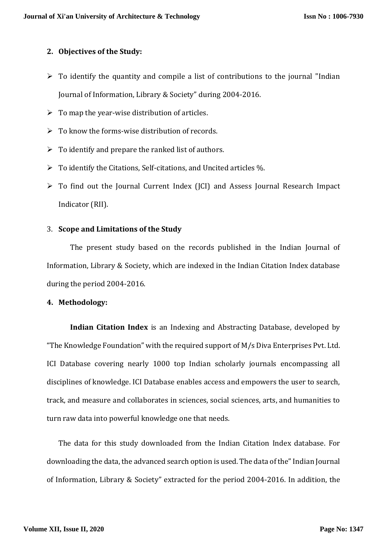# **2. Objectives of the Study:**

- $\triangleright$  To identify the quantity and compile a list of contributions to the journal "Indian" Journal of Information, Library & Society" during 2004-2016.
- $\triangleright$  To map the year-wise distribution of articles.
- $\triangleright$  To know the forms-wise distribution of records.
- $\triangleright$  To identify and prepare the ranked list of authors.
- $\triangleright$  To identify the Citations, Self-citations, and Uncited articles %.
- $\triangleright$  To find out the Journal Current Index (JCI) and Assess Journal Research Impact Indicator (RII).

## 3. **Scope and Limitations of the Study**

The present study based on the records published in the Indian Journal of Information, Library & Society, which are indexed in the Indian Citation Index database during the period 2004-2016.

#### **4. Methodology:**

**Indian Citation Index** is an Indexing and Abstracting Database, developed by "The Knowledge Foundation" with the required support of M/s Diva Enterprises Pvt. Ltd. ICI Database covering nearly 1000 top Indian scholarly journals encompassing all disciplines of knowledge. ICI Database enables access and empowers the user to search, track, and measure and collaborates in sciences, social sciences, arts, and humanities to turn raw data into powerful knowledge one that needs.

The data for this study downloaded from the Indian Citation Index database. For downloading the data, the advanced search option is used. The data of the" Indian Journal of Information, Library & Society" extracted for the period 2004-2016. In addition, the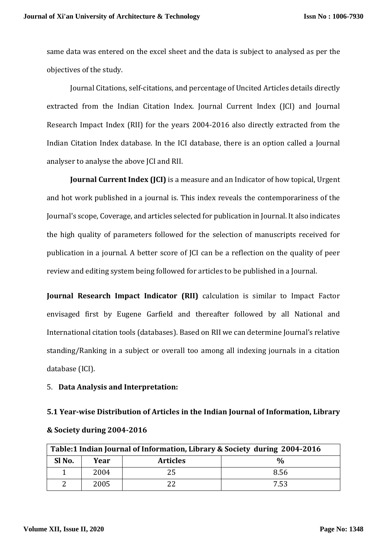same data was entered on the excel sheet and the data is subject to analysed as per the objectives of the study.

Journal Citations, self-citations, and percentage of Uncited Articles details directly extracted from the Indian Citation Index. Journal Current Index (JCI) and Journal Research Impact Index (RII) for the years 2004-2016 also directly extracted from the Indian Citation Index database. In the ICI database, there is an option called a Journal analyser to analyse the above JCI and RII.

**Journal Current Index (JCI)** is a measure and an Indicator of how topical, Urgent and hot work published in a journal is. This index reveals the contemporariness of the Journal's scope, Coverage, and articles selected for publication in Journal. It also indicates the high quality of parameters followed for the selection of manuscripts received for publication in a journal. A better score of JCI can be a reflection on the quality of peer review and editing system being followed for articles to be published in a Journal.

**Journal Research Impact Indicator (RII)** calculation is similar to Impact Factor envisaged first by Eugene Garfield and thereafter followed by all National and International citation tools (databases). Based on RII we can determine Journal's relative standing/Ranking in a subject or overall too among all indexing journals in a citation database (ICI).

#### 5. **Data Analysis and Interpretation:**

# **5.1 Year-wise Distribution of Articles in the Indian Journal of Information, Library**

| Table:1 Indian Journal of Information, Library & Society during 2004-2016 |      |                 |               |
|---------------------------------------------------------------------------|------|-----------------|---------------|
| Sl No.                                                                    | Year | <b>Articles</b> | $\frac{0}{0}$ |
|                                                                           | 2004 |                 | 8.56          |
|                                                                           | 2005 |                 | 7.53          |

#### **& Society during 2004-2016**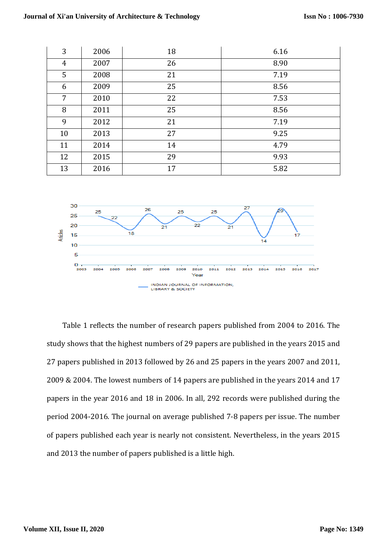| 3              | 2006 | 18 | 6.16 |
|----------------|------|----|------|
| $\overline{4}$ | 2007 | 26 | 8.90 |
| 5              | 2008 | 21 | 7.19 |
| 6              | 2009 | 25 | 8.56 |
| $\overline{7}$ | 2010 | 22 | 7.53 |
| 8              | 2011 | 25 | 8.56 |
| 9              | 2012 | 21 | 7.19 |
| 10             | 2013 | 27 | 9.25 |
| 11             | 2014 | 14 | 4.79 |
| 12             | 2015 | 29 | 9.93 |
| 13             | 2016 | 17 | 5.82 |



Table 1 reflects the number of research papers published from 2004 to 2016. The study shows that the highest numbers of 29 papers are published in the years 2015 and 27 papers published in 2013 followed by 26 and 25 papers in the years 2007 and 2011, 2009 & 2004. The lowest numbers of 14 papers are published in the years 2014 and 17 papers in the year 2016 and 18 in 2006. In all, 292 records were published during the period 2004-2016. The journal on average published 7-8 papers per issue. The number of papers published each year is nearly not consistent. Nevertheless, in the years 2015 and 2013 the number of papers published is a little high.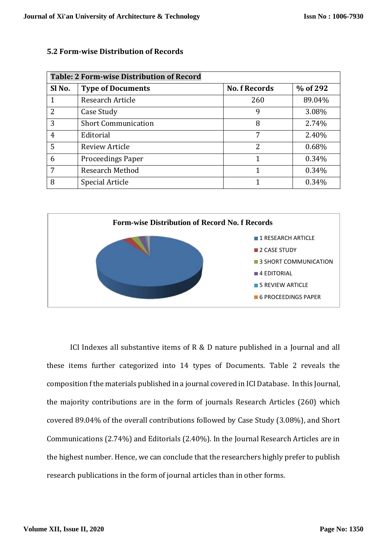| <b>Table: 2 Form-wise Distribution of Record</b> |                            |                      |          |  |
|--------------------------------------------------|----------------------------|----------------------|----------|--|
| Sl No.                                           | <b>Type of Documents</b>   | <b>No. f Records</b> | % of 292 |  |
| 1                                                | Research Article           | 260                  | 89.04%   |  |
| 2                                                | Case Study                 | 9                    | 3.08%    |  |
| 3                                                | <b>Short Communication</b> | 8                    | 2.74%    |  |
| $\overline{4}$                                   | Editorial                  | 7                    | 2.40%    |  |
| 5                                                | Review Article             | 2                    | 0.68%    |  |
| 6                                                | <b>Proceedings Paper</b>   | 1                    | 0.34%    |  |
| 7                                                | <b>Research Method</b>     | 1                    | 0.34%    |  |
| 8                                                | Special Article            |                      | 0.34%    |  |

## **5.2 Form-wise Distribution of Records**



ICI Indexes all substantive items of R & D nature published in a Journal and all these items further categorized into 14 types of Documents. Table 2 reveals the composition f the materials published in a journal covered in ICI Database. In this Journal, the majority contributions are in the form of journals Research Articles (260) which covered 89.04% of the overall contributions followed by Case Study (3.08%), and Short Communications (2.74%) and Editorials (2.40%). In the Journal Research Articles are in the highest number. Hence, we can conclude that the researchers highly prefer to publish research publications in the form of journal articles than in other forms.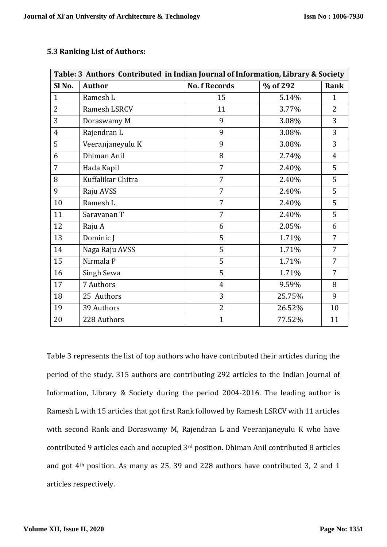| <b>5.3 Ranking List of Authors:</b> |  |
|-------------------------------------|--|
|-------------------------------------|--|

| Table: 3 Authors Contributed in Indian Journal of Information, Library & Society |                   |                      |          |                |
|----------------------------------------------------------------------------------|-------------------|----------------------|----------|----------------|
| Sl <sub>No.</sub>                                                                | <b>Author</b>     | <b>No. f Records</b> | % of 292 | Rank           |
| $\mathbf{1}$                                                                     | Ramesh L          | 15                   | 5.14%    | $\mathbf{1}$   |
| 2                                                                                | Ramesh LSRCV      | 11                   | 3.77%    | $\overline{2}$ |
| 3                                                                                | Doraswamy M       | 9                    | 3.08%    | 3              |
| 4                                                                                | Rajendran L       | 9                    | 3.08%    | 3              |
| 5                                                                                | Veeranjaneyulu K  | 9                    | 3.08%    | 3              |
| 6                                                                                | Dhiman Anil       | 8                    | 2.74%    | $\overline{4}$ |
| 7                                                                                | Hada Kapil        | $\overline{7}$       | 2.40%    | 5              |
| 8                                                                                | Kuffalikar Chitra | 7                    | 2.40%    | 5              |
| 9                                                                                | Raju AVSS         | 7                    | 2.40%    | 5              |
| 10                                                                               | Ramesh L          | $\overline{7}$       | 2.40%    | 5              |
| 11                                                                               | Saravanan T       | $\overline{7}$       | 2.40%    | 5              |
| 12                                                                               | Raju A            | 6                    | 2.05%    | 6              |
| 13                                                                               | Dominic J         | 5                    | 1.71%    | 7              |
| 14                                                                               | Naga Raju AVSS    | 5                    | 1.71%    | 7              |
| 15                                                                               | Nirmala P         | 5                    | 1.71%    | 7              |
| 16                                                                               | Singh Sewa        | 5                    | 1.71%    | 7              |
| 17                                                                               | 7 Authors         | $\overline{4}$       | 9.59%    | 8              |
| 18                                                                               | 25 Authors        | 3                    | 25.75%   | 9              |
| 19                                                                               | 39 Authors        | $\overline{2}$       | 26.52%   | 10             |
| 20                                                                               | 228 Authors       | $\mathbf{1}$         | 77.52%   | 11             |

Table 3 represents the list of top authors who have contributed their articles during the period of the study. 315 authors are contributing 292 articles to the Indian Journal of Information, Library & Society during the period 2004-2016. The leading author is Ramesh L with 15 articles that got first Rank followed by Ramesh LSRCV with 11 articles with second Rank and Doraswamy M, Rajendran L and Veeranjaneyulu K who have contributed 9 articles each and occupied 3rd position. Dhiman Anil contributed 8 articles and got 4th position. As many as 25, 39 and 228 authors have contributed 3, 2 and 1 articles respectively.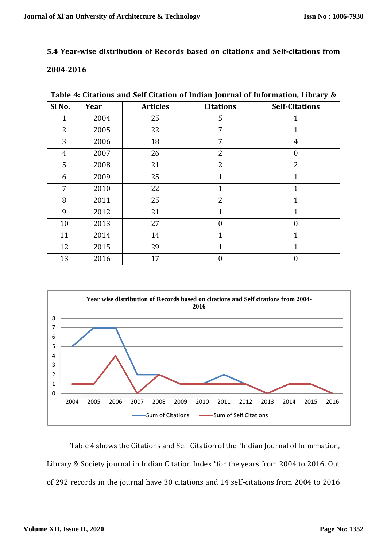# **5.4 Year-wise distribution of Records based on citations and Self-citations from**

#### **2004-2016**

| Table 4: Citations and Self Citation of Indian Journal of Information, Library & |      |                 |                  |                       |
|----------------------------------------------------------------------------------|------|-----------------|------------------|-----------------------|
| Sl No.                                                                           | Year | <b>Articles</b> | <b>Citations</b> | <b>Self-Citations</b> |
| $\mathbf{1}$                                                                     | 2004 | 25              | 5                | 1                     |
| 2                                                                                | 2005 | 22              | 7                |                       |
| 3                                                                                | 2006 | 18              | 7                | $\overline{4}$        |
| $\overline{4}$                                                                   | 2007 | 26              | $\overline{2}$   | $\theta$              |
| 5                                                                                | 2008 | 21              | 2                | $\overline{2}$        |
| 6                                                                                | 2009 | 25              | $\mathbf{1}$     | $\mathbf{1}$          |
| 7                                                                                | 2010 | 22              | $\mathbf{1}$     | $\mathbf{1}$          |
| 8                                                                                | 2011 | 25              | $\overline{2}$   | 1                     |
| 9                                                                                | 2012 | 21              | $\mathbf{1}$     | $\mathbf{1}$          |
| 10                                                                               | 2013 | 27              | $\boldsymbol{0}$ | $\theta$              |
| 11                                                                               | 2014 | 14              | $\overline{1}$   | 1                     |
| 12                                                                               | 2015 | 29              | 1                | 1                     |
| 13                                                                               | 2016 | 17              | $\overline{0}$   | $\theta$              |



Table 4 shows the Citations and Self Citation of the "Indian Journal of Information, Library & Society journal in Indian Citation Index "for the years from 2004 to 2016. Out of 292 records in the journal have 30 citations and 14 self-citations from 2004 to 2016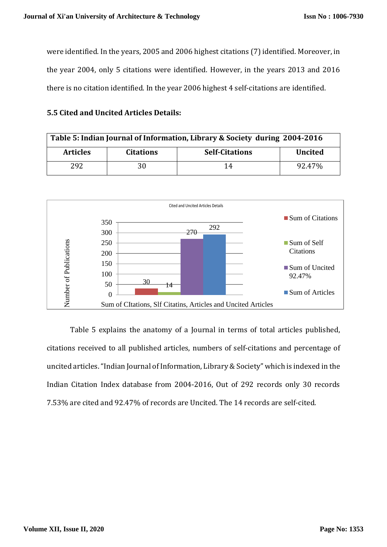were identified. In the years, 2005 and 2006 highest citations (7) identified. Moreover, in the year 2004, only 5 citations were identified. However, in the years 2013 and 2016 there is no citation identified. In the year 2006 highest 4 self-citations are identified.

## **5.5 Cited and Uncited Articles Details:**

| Table 5: Indian Journal of Information, Library & Society during 2004-2016 |                  |                       |                |
|----------------------------------------------------------------------------|------------------|-----------------------|----------------|
| <b>Articles</b>                                                            | <b>Citations</b> | <b>Self-Citations</b> | <b>Uncited</b> |
| 292                                                                        | 30               | 14                    | 92.47%         |



Table 5 explains the anatomy of a Journal in terms of total articles published, citations received to all published articles, numbers of self-citations and percentage of uncited articles."Indian Journal of Information, Library & Society" which is indexed in the Indian Citation Index database from 2004-2016, Out of 292 records only 30 records 7.53% are cited and 92.47% of records are Uncited. The 14 records are self-cited.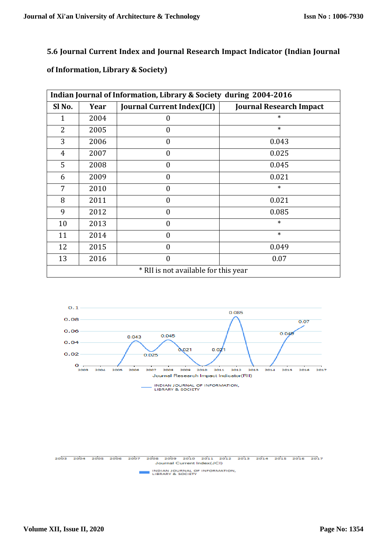# **5.6 Journal Current Index and Journal Research Impact Indicator (Indian Journal**

# **of Information, Library & Society)**

| Indian Journal of Information, Library & Society during 2004-2016 |      |                                   |                                |  |
|-------------------------------------------------------------------|------|-----------------------------------|--------------------------------|--|
| Sl No.                                                            | Year | <b>Journal Current Index(JCI)</b> | <b>Journal Research Impact</b> |  |
| 1                                                                 | 2004 | $\Omega$                          | $\ast$                         |  |
| 2                                                                 | 2005 | $\theta$                          | $\ast$                         |  |
| 3                                                                 | 2006 | $\theta$                          | 0.043                          |  |
| $\overline{4}$                                                    | 2007 | $\theta$                          | 0.025                          |  |
| 5                                                                 | 2008 | $\theta$                          | 0.045                          |  |
| 6                                                                 | 2009 | $\theta$                          | 0.021                          |  |
| 7                                                                 | 2010 | $\theta$                          | $\ast$                         |  |
| 8                                                                 | 2011 | $\Omega$                          | 0.021                          |  |
| 9                                                                 | 2012 | $\theta$                          | 0.085                          |  |
| 10                                                                | 2013 | $\overline{0}$                    | $\ast$                         |  |
| 11                                                                | 2014 | $\Omega$                          | $\ast$                         |  |
| 12                                                                | 2015 | $\overline{0}$                    | 0.049                          |  |
| 13                                                                | 2016 | $\theta$                          | 0.07                           |  |
| * RII is not available for this year                              |      |                                   |                                |  |



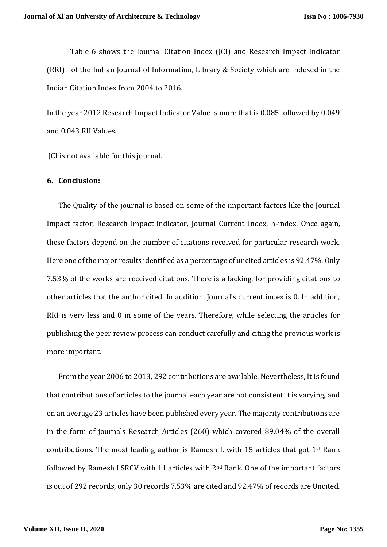Table 6 shows the Journal Citation Index (JCI) and Research Impact Indicator (RRI) of the Indian Journal of Information, Library & Society which are indexed in the Indian Citation Index from 2004 to 2016.

In the year 2012 Research Impact Indicator Value is more that is 0.085 followed by 0.049 and 0.043 RII Values.

JCI is not available for this journal.

#### **6. Conclusion:**

The Quality of the journal is based on some of the important factors like the Journal Impact factor, Research Impact indicator, Journal Current Index, h-index. Once again, these factors depend on the number of citations received for particular research work. Here one of the major results identified as a percentage of uncited articles is 92.47%. Only 7.53% of the works are received citations. There is a lacking, for providing citations to other articles that the author cited. In addition, Journal's current index is 0. In addition, RRI is very less and 0 in some of the years. Therefore, while selecting the articles for publishing the peer review process can conduct carefully and citing the previous work is more important.

From the year 2006 to 2013, 292 contributions are available. Nevertheless, It is found that contributions of articles to the journal each year are not consistent it is varying, and on an average 23 articles have been published every year. The majority contributions are in the form of journals Research Articles (260) which covered 89.04% of the overall contributions. The most leading author is Ramesh L with 15 articles that got  $1<sup>st</sup>$  Rank followed by Ramesh LSRCV with 11 articles with 2nd Rank. One of the important factors is out of 292 records, only 30 records 7.53% are cited and 92.47% of records are Uncited.